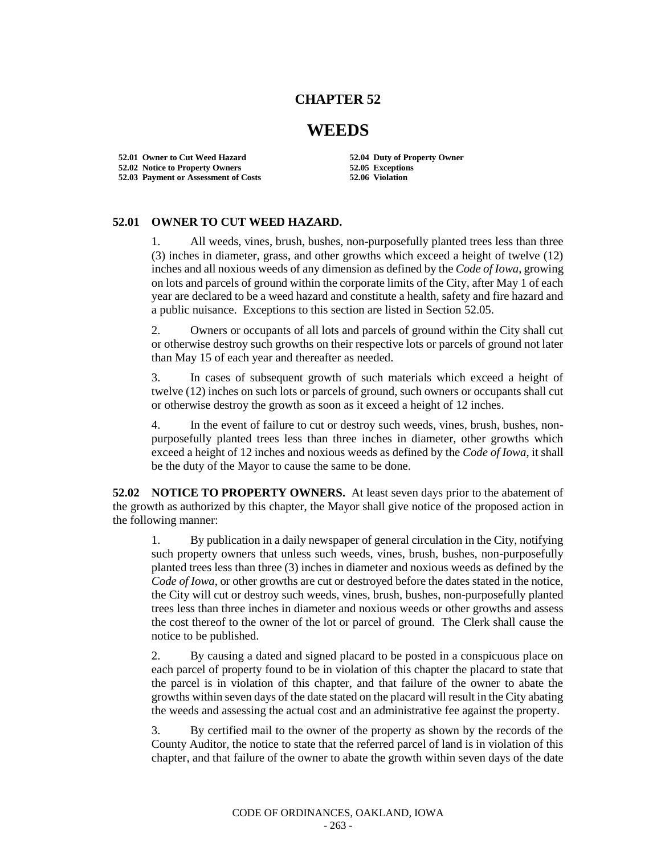## **CHAPTER 52**

## **WEEDS**

**52.01 Owner to Cut Weed Hazard 52.04 Duty of Property Owner 52.02 Notice to Property Owners 52.05 Exceptions 52.03 Payment or Assessment of Costs** 

## **52.01 OWNER TO CUT WEED HAZARD.**

1. All weeds, vines, brush, bushes, non-purposefully planted trees less than three (3) inches in diameter, grass, and other growths which exceed a height of twelve (12) inches and all noxious weeds of any dimension as defined by the *Code of Iowa*, growing on lots and parcels of ground within the corporate limits of the City, after May 1 of each year are declared to be a weed hazard and constitute a health, safety and fire hazard and a public nuisance. Exceptions to this section are listed in Section 52.05.

2. Owners or occupants of all lots and parcels of ground within the City shall cut or otherwise destroy such growths on their respective lots or parcels of ground not later than May 15 of each year and thereafter as needed.

3. In cases of subsequent growth of such materials which exceed a height of twelve (12) inches on such lots or parcels of ground, such owners or occupants shall cut or otherwise destroy the growth as soon as it exceed a height of 12 inches.

4. In the event of failure to cut or destroy such weeds, vines, brush, bushes, nonpurposefully planted trees less than three inches in diameter, other growths which exceed a height of 12 inches and noxious weeds as defined by the *Code of Iowa*, it shall be the duty of the Mayor to cause the same to be done.

**52.02 NOTICE TO PROPERTY OWNERS.** At least seven days prior to the abatement of the growth as authorized by this chapter, the Mayor shall give notice of the proposed action in the following manner:

1. By publication in a daily newspaper of general circulation in the City, notifying such property owners that unless such weeds, vines, brush, bushes, non-purposefully planted trees less than three (3) inches in diameter and noxious weeds as defined by the *Code of Iowa*, or other growths are cut or destroyed before the dates stated in the notice, the City will cut or destroy such weeds, vines, brush, bushes, non-purposefully planted trees less than three inches in diameter and noxious weeds or other growths and assess the cost thereof to the owner of the lot or parcel of ground. The Clerk shall cause the notice to be published.

2. By causing a dated and signed placard to be posted in a conspicuous place on each parcel of property found to be in violation of this chapter the placard to state that the parcel is in violation of this chapter, and that failure of the owner to abate the growths within seven days of the date stated on the placard will result in the City abating the weeds and assessing the actual cost and an administrative fee against the property.

3. By certified mail to the owner of the property as shown by the records of the County Auditor, the notice to state that the referred parcel of land is in violation of this chapter, and that failure of the owner to abate the growth within seven days of the date